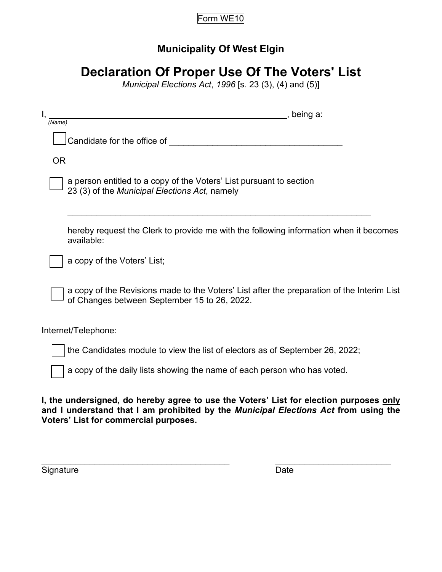| )<br>∵WE<br>orm<br>r 1 |
|------------------------|
|------------------------|

## **Municipality Of West Elgin**

# **Declaration Of Proper Use Of The Voters' List**

*Municipal Elections Act*, *1996* [s. 23 (3), (4) and (5)]

| _, being a:<br><u> 1989 - Johann Harry Harry Harry Harry Harry Harry Harry Harry Harry Harry Harry Harry Harry Harry Harry Harry</u><br>(Name)                                                                         |  |
|------------------------------------------------------------------------------------------------------------------------------------------------------------------------------------------------------------------------|--|
|                                                                                                                                                                                                                        |  |
| <b>OR</b>                                                                                                                                                                                                              |  |
| a person entitled to a copy of the Voters' List pursuant to section<br>23 (3) of the Municipal Elections Act, namely                                                                                                   |  |
| hereby request the Clerk to provide me with the following information when it becomes<br>available:                                                                                                                    |  |
| a copy of the Voters' List;                                                                                                                                                                                            |  |
| a copy of the Revisions made to the Voters' List after the preparation of the Interim List<br>of Changes between September 15 to 26, 2022.                                                                             |  |
| Internet/Telephone:                                                                                                                                                                                                    |  |
| the Candidates module to view the list of electors as of September 26, 2022;                                                                                                                                           |  |
| a copy of the daily lists showing the name of each person who has voted.                                                                                                                                               |  |
| I, the undersigned, do hereby agree to use the Voters' List for election purposes only<br>and I understand that I am prohibited by the Municipal Elections Act from using the<br>Voters' List for commercial purposes. |  |

\_\_\_\_\_\_\_\_\_\_\_\_\_\_\_\_\_\_\_\_\_\_\_\_\_\_\_\_\_\_\_\_\_\_\_\_\_\_\_ \_\_\_\_\_\_\_\_\_\_\_\_\_\_\_\_\_\_\_\_\_\_\_\_

Signature Date